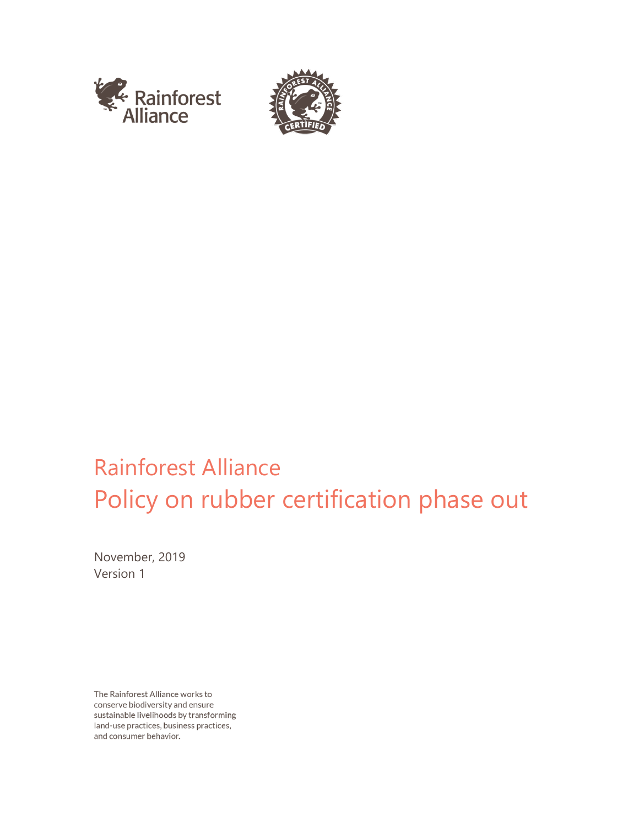



# Rainforest Alliance Policy on rubber certification phase out

November, 2019 Version 1

The Rainforest Alliance works to conserve biodiversity and ensure sustainable livelihoods by transforming land-use practices, business practices, and consumer behavior.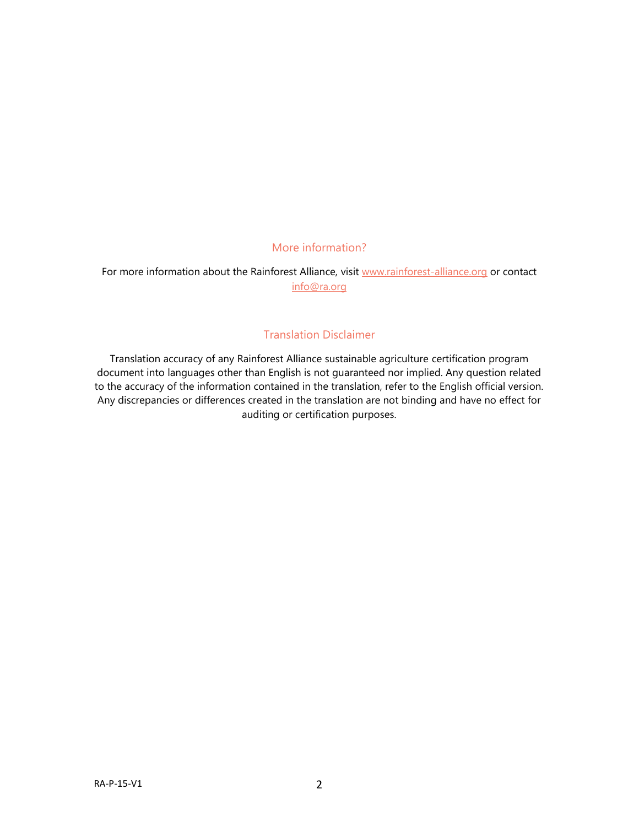### More information?

For more information about the Rainforest Alliance, visit [www.rainforest-alliance.org](http://www.rainforest-alliance.org/) or contact [info@ra.org](mailto:info@ra.org)

#### Translation Disclaimer

Translation accuracy of any Rainforest Alliance sustainable agriculture certification program document into languages other than English is not guaranteed nor implied. Any question related to the accuracy of the information contained in the translation, refer to the English official version. Any discrepancies or differences created in the translation are not binding and have no effect for auditing or certification purposes.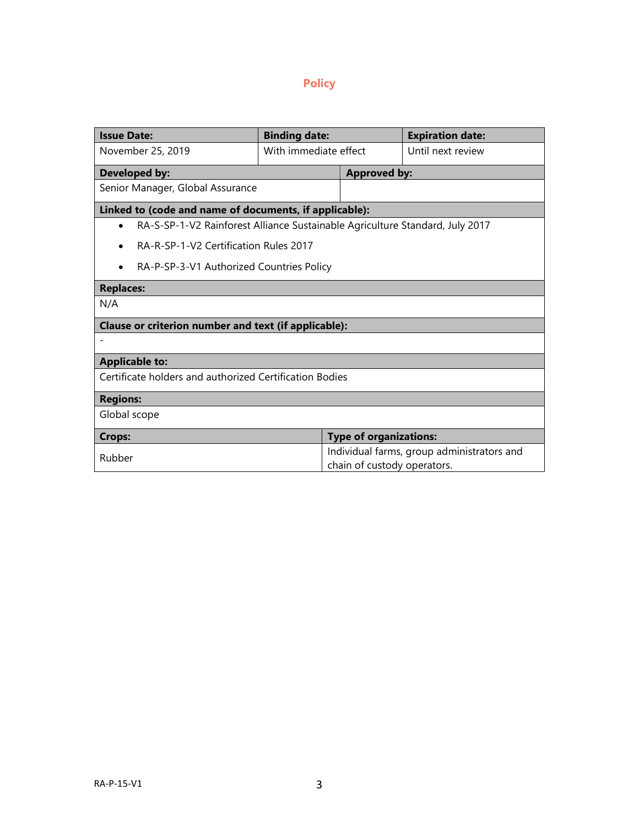## **Policy**

| <b>Issue Date:</b>                                                           | <b>Binding date:</b>  |                                                                           | <b>Expiration date:</b> |
|------------------------------------------------------------------------------|-----------------------|---------------------------------------------------------------------------|-------------------------|
| November 25, 2019                                                            | With immediate effect |                                                                           | Until next review       |
| <b>Developed by:</b>                                                         |                       | <b>Approved by:</b>                                                       |                         |
| Senior Manager, Global Assurance                                             |                       |                                                                           |                         |
| Linked to (code and name of documents, if applicable):                       |                       |                                                                           |                         |
| RA-S-SP-1-V2 Rainforest Alliance Sustainable Agriculture Standard, July 2017 |                       |                                                                           |                         |
| RA-R-SP-1-V2 Certification Rules 2017                                        |                       |                                                                           |                         |
| RA-P-SP-3-V1 Authorized Countries Policy<br>$\bullet$                        |                       |                                                                           |                         |
| <b>Replaces:</b>                                                             |                       |                                                                           |                         |
| N/A                                                                          |                       |                                                                           |                         |
| Clause or criterion number and text (if applicable):                         |                       |                                                                           |                         |
|                                                                              |                       |                                                                           |                         |
| <b>Applicable to:</b>                                                        |                       |                                                                           |                         |
| Certificate holders and authorized Certification Bodies                      |                       |                                                                           |                         |
| <b>Regions:</b>                                                              |                       |                                                                           |                         |
| Global scope                                                                 |                       |                                                                           |                         |
| <b>Crops:</b>                                                                |                       | <b>Type of organizations:</b>                                             |                         |
| Rubber                                                                       |                       | Individual farms, group administrators and<br>chain of custody operators. |                         |